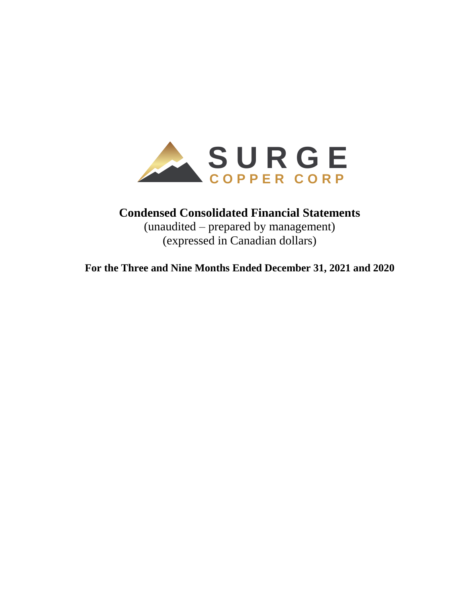

# **Condensed Consolidated Financial Statements**

(unaudited – prepared by management) (expressed in Canadian dollars)

**For the Three and Nine Months Ended December 31, 2021 and 2020**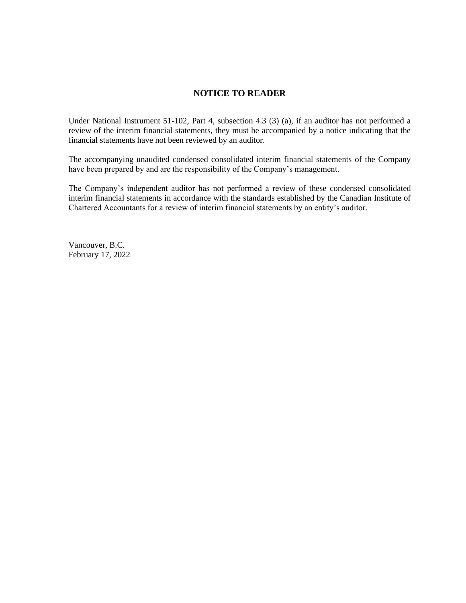# **NOTICE TO READER**

Under National Instrument 51-102, Part 4, subsection 4.3 (3) (a), if an auditor has not performed a review of the interim financial statements, they must be accompanied by a notice indicating that the financial statements have not been reviewed by an auditor.

The accompanying unaudited condensed consolidated interim financial statements of the Company have been prepared by and are the responsibility of the Company's management.

The Company's independent auditor has not performed a review of these condensed consolidated interim financial statements in accordance with the standards established by the Canadian Institute of Chartered Accountants for a review of interim financial statements by an entity's auditor.

Vancouver, B.C. February 17, 2022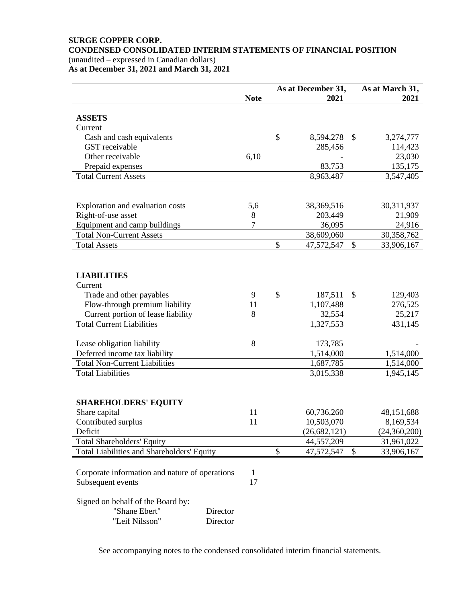#### **SURGE COPPER CORP. CONDENSED CONSOLIDATED INTERIM STATEMENTS OF FINANCIAL POSITION** (unaudited – expressed in Canadian dollars)

**As at December 31, 2021 and March 31, 2021**

| 2021<br>2021<br><b>Note</b><br><b>ASSETS</b><br>Current<br>\$<br>8,594,278 \$<br>Cash and cash equivalents<br>3,274,777<br>GST receivable<br>285,456<br>114,423<br>Other receivable<br>6,10<br>23,030<br>83,753<br>Prepaid expenses<br>135,175<br><b>Total Current Assets</b><br>8,963,487<br>3,547,405<br>30,311,937<br>Exploration and evaluation costs<br>5,6<br>38,369,516<br>Right-of-use asset<br>8<br>203,449<br>21,909<br>Equipment and camp buildings<br>7<br>36,095<br>24,916<br><b>Total Non-Current Assets</b><br>38,609,060<br><b>Total Assets</b><br>\$<br>47,572,547<br>$\mathbb{S}$<br>33,906,167<br><b>LIABILITIES</b><br>Current<br>$\mathcal{S}$<br>Trade and other payables<br>187,511<br>$\mathcal{S}$<br>9<br>129,403<br>Flow-through premium liability<br>11<br>1,107,488<br>276,525<br>Current portion of lease liability<br>8<br>32,554<br>25,217<br><b>Total Current Liabilities</b><br>1,327,553<br>431,145<br>8<br>Lease obligation liability<br>173,785<br>Deferred income tax liability<br>1,514,000<br>1,514,000<br><b>Total Non-Current Liabilities</b><br>1,687,785<br><b>Total Liabilities</b><br>3,015,338<br>1,945,145<br><b>SHAREHOLDERS' EQUITY</b><br>Share capital<br>11<br>60,736,260<br>48,151,688<br>11<br>10,503,070<br>8,169,534<br>Contributed surplus<br>Deficit<br>(26, 682, 121)<br>44,557,209<br><b>Total Shareholders' Equity</b><br>31,961,022<br>Total Liabilities and Shareholders' Equity<br>\$<br>47,572,547<br>$\mathcal{S}$<br>33,906,167<br>Corporate information and nature of operations<br>$\mathbf{1}$<br>17<br>Subsequent events<br>Signed on behalf of the Board by:<br>"Shane Ebert"<br>Director<br>"Leif Nilsson"<br>Director |  | As at December 31, | As at March 31, |
|--------------------------------------------------------------------------------------------------------------------------------------------------------------------------------------------------------------------------------------------------------------------------------------------------------------------------------------------------------------------------------------------------------------------------------------------------------------------------------------------------------------------------------------------------------------------------------------------------------------------------------------------------------------------------------------------------------------------------------------------------------------------------------------------------------------------------------------------------------------------------------------------------------------------------------------------------------------------------------------------------------------------------------------------------------------------------------------------------------------------------------------------------------------------------------------------------------------------------------------------------------------------------------------------------------------------------------------------------------------------------------------------------------------------------------------------------------------------------------------------------------------------------------------------------------------------------------------------------------------------------------------------------------------------------------------------------|--|--------------------|-----------------|
|                                                                                                                                                                                                                                                                                                                                                                                                                                                                                                                                                                                                                                                                                                                                                                                                                                                                                                                                                                                                                                                                                                                                                                                                                                                                                                                                                                                                                                                                                                                                                                                                                                                                                                  |  |                    |                 |
| 30,358,762<br>1,514,000<br>(24,360,200)                                                                                                                                                                                                                                                                                                                                                                                                                                                                                                                                                                                                                                                                                                                                                                                                                                                                                                                                                                                                                                                                                                                                                                                                                                                                                                                                                                                                                                                                                                                                                                                                                                                          |  |                    |                 |
|                                                                                                                                                                                                                                                                                                                                                                                                                                                                                                                                                                                                                                                                                                                                                                                                                                                                                                                                                                                                                                                                                                                                                                                                                                                                                                                                                                                                                                                                                                                                                                                                                                                                                                  |  |                    |                 |
|                                                                                                                                                                                                                                                                                                                                                                                                                                                                                                                                                                                                                                                                                                                                                                                                                                                                                                                                                                                                                                                                                                                                                                                                                                                                                                                                                                                                                                                                                                                                                                                                                                                                                                  |  |                    |                 |
|                                                                                                                                                                                                                                                                                                                                                                                                                                                                                                                                                                                                                                                                                                                                                                                                                                                                                                                                                                                                                                                                                                                                                                                                                                                                                                                                                                                                                                                                                                                                                                                                                                                                                                  |  |                    |                 |
|                                                                                                                                                                                                                                                                                                                                                                                                                                                                                                                                                                                                                                                                                                                                                                                                                                                                                                                                                                                                                                                                                                                                                                                                                                                                                                                                                                                                                                                                                                                                                                                                                                                                                                  |  |                    |                 |
|                                                                                                                                                                                                                                                                                                                                                                                                                                                                                                                                                                                                                                                                                                                                                                                                                                                                                                                                                                                                                                                                                                                                                                                                                                                                                                                                                                                                                                                                                                                                                                                                                                                                                                  |  |                    |                 |
|                                                                                                                                                                                                                                                                                                                                                                                                                                                                                                                                                                                                                                                                                                                                                                                                                                                                                                                                                                                                                                                                                                                                                                                                                                                                                                                                                                                                                                                                                                                                                                                                                                                                                                  |  |                    |                 |
|                                                                                                                                                                                                                                                                                                                                                                                                                                                                                                                                                                                                                                                                                                                                                                                                                                                                                                                                                                                                                                                                                                                                                                                                                                                                                                                                                                                                                                                                                                                                                                                                                                                                                                  |  |                    |                 |
|                                                                                                                                                                                                                                                                                                                                                                                                                                                                                                                                                                                                                                                                                                                                                                                                                                                                                                                                                                                                                                                                                                                                                                                                                                                                                                                                                                                                                                                                                                                                                                                                                                                                                                  |  |                    |                 |
|                                                                                                                                                                                                                                                                                                                                                                                                                                                                                                                                                                                                                                                                                                                                                                                                                                                                                                                                                                                                                                                                                                                                                                                                                                                                                                                                                                                                                                                                                                                                                                                                                                                                                                  |  |                    |                 |
|                                                                                                                                                                                                                                                                                                                                                                                                                                                                                                                                                                                                                                                                                                                                                                                                                                                                                                                                                                                                                                                                                                                                                                                                                                                                                                                                                                                                                                                                                                                                                                                                                                                                                                  |  |                    |                 |
|                                                                                                                                                                                                                                                                                                                                                                                                                                                                                                                                                                                                                                                                                                                                                                                                                                                                                                                                                                                                                                                                                                                                                                                                                                                                                                                                                                                                                                                                                                                                                                                                                                                                                                  |  |                    |                 |
|                                                                                                                                                                                                                                                                                                                                                                                                                                                                                                                                                                                                                                                                                                                                                                                                                                                                                                                                                                                                                                                                                                                                                                                                                                                                                                                                                                                                                                                                                                                                                                                                                                                                                                  |  |                    |                 |
|                                                                                                                                                                                                                                                                                                                                                                                                                                                                                                                                                                                                                                                                                                                                                                                                                                                                                                                                                                                                                                                                                                                                                                                                                                                                                                                                                                                                                                                                                                                                                                                                                                                                                                  |  |                    |                 |
|                                                                                                                                                                                                                                                                                                                                                                                                                                                                                                                                                                                                                                                                                                                                                                                                                                                                                                                                                                                                                                                                                                                                                                                                                                                                                                                                                                                                                                                                                                                                                                                                                                                                                                  |  |                    |                 |
|                                                                                                                                                                                                                                                                                                                                                                                                                                                                                                                                                                                                                                                                                                                                                                                                                                                                                                                                                                                                                                                                                                                                                                                                                                                                                                                                                                                                                                                                                                                                                                                                                                                                                                  |  |                    |                 |
|                                                                                                                                                                                                                                                                                                                                                                                                                                                                                                                                                                                                                                                                                                                                                                                                                                                                                                                                                                                                                                                                                                                                                                                                                                                                                                                                                                                                                                                                                                                                                                                                                                                                                                  |  |                    |                 |
|                                                                                                                                                                                                                                                                                                                                                                                                                                                                                                                                                                                                                                                                                                                                                                                                                                                                                                                                                                                                                                                                                                                                                                                                                                                                                                                                                                                                                                                                                                                                                                                                                                                                                                  |  |                    |                 |
|                                                                                                                                                                                                                                                                                                                                                                                                                                                                                                                                                                                                                                                                                                                                                                                                                                                                                                                                                                                                                                                                                                                                                                                                                                                                                                                                                                                                                                                                                                                                                                                                                                                                                                  |  |                    |                 |
|                                                                                                                                                                                                                                                                                                                                                                                                                                                                                                                                                                                                                                                                                                                                                                                                                                                                                                                                                                                                                                                                                                                                                                                                                                                                                                                                                                                                                                                                                                                                                                                                                                                                                                  |  |                    |                 |
|                                                                                                                                                                                                                                                                                                                                                                                                                                                                                                                                                                                                                                                                                                                                                                                                                                                                                                                                                                                                                                                                                                                                                                                                                                                                                                                                                                                                                                                                                                                                                                                                                                                                                                  |  |                    |                 |
|                                                                                                                                                                                                                                                                                                                                                                                                                                                                                                                                                                                                                                                                                                                                                                                                                                                                                                                                                                                                                                                                                                                                                                                                                                                                                                                                                                                                                                                                                                                                                                                                                                                                                                  |  |                    |                 |
|                                                                                                                                                                                                                                                                                                                                                                                                                                                                                                                                                                                                                                                                                                                                                                                                                                                                                                                                                                                                                                                                                                                                                                                                                                                                                                                                                                                                                                                                                                                                                                                                                                                                                                  |  |                    |                 |
|                                                                                                                                                                                                                                                                                                                                                                                                                                                                                                                                                                                                                                                                                                                                                                                                                                                                                                                                                                                                                                                                                                                                                                                                                                                                                                                                                                                                                                                                                                                                                                                                                                                                                                  |  |                    |                 |
|                                                                                                                                                                                                                                                                                                                                                                                                                                                                                                                                                                                                                                                                                                                                                                                                                                                                                                                                                                                                                                                                                                                                                                                                                                                                                                                                                                                                                                                                                                                                                                                                                                                                                                  |  |                    |                 |
|                                                                                                                                                                                                                                                                                                                                                                                                                                                                                                                                                                                                                                                                                                                                                                                                                                                                                                                                                                                                                                                                                                                                                                                                                                                                                                                                                                                                                                                                                                                                                                                                                                                                                                  |  |                    |                 |
|                                                                                                                                                                                                                                                                                                                                                                                                                                                                                                                                                                                                                                                                                                                                                                                                                                                                                                                                                                                                                                                                                                                                                                                                                                                                                                                                                                                                                                                                                                                                                                                                                                                                                                  |  |                    |                 |
|                                                                                                                                                                                                                                                                                                                                                                                                                                                                                                                                                                                                                                                                                                                                                                                                                                                                                                                                                                                                                                                                                                                                                                                                                                                                                                                                                                                                                                                                                                                                                                                                                                                                                                  |  |                    |                 |
|                                                                                                                                                                                                                                                                                                                                                                                                                                                                                                                                                                                                                                                                                                                                                                                                                                                                                                                                                                                                                                                                                                                                                                                                                                                                                                                                                                                                                                                                                                                                                                                                                                                                                                  |  |                    |                 |
|                                                                                                                                                                                                                                                                                                                                                                                                                                                                                                                                                                                                                                                                                                                                                                                                                                                                                                                                                                                                                                                                                                                                                                                                                                                                                                                                                                                                                                                                                                                                                                                                                                                                                                  |  |                    |                 |
|                                                                                                                                                                                                                                                                                                                                                                                                                                                                                                                                                                                                                                                                                                                                                                                                                                                                                                                                                                                                                                                                                                                                                                                                                                                                                                                                                                                                                                                                                                                                                                                                                                                                                                  |  |                    |                 |
|                                                                                                                                                                                                                                                                                                                                                                                                                                                                                                                                                                                                                                                                                                                                                                                                                                                                                                                                                                                                                                                                                                                                                                                                                                                                                                                                                                                                                                                                                                                                                                                                                                                                                                  |  |                    |                 |
|                                                                                                                                                                                                                                                                                                                                                                                                                                                                                                                                                                                                                                                                                                                                                                                                                                                                                                                                                                                                                                                                                                                                                                                                                                                                                                                                                                                                                                                                                                                                                                                                                                                                                                  |  |                    |                 |
|                                                                                                                                                                                                                                                                                                                                                                                                                                                                                                                                                                                                                                                                                                                                                                                                                                                                                                                                                                                                                                                                                                                                                                                                                                                                                                                                                                                                                                                                                                                                                                                                                                                                                                  |  |                    |                 |
|                                                                                                                                                                                                                                                                                                                                                                                                                                                                                                                                                                                                                                                                                                                                                                                                                                                                                                                                                                                                                                                                                                                                                                                                                                                                                                                                                                                                                                                                                                                                                                                                                                                                                                  |  |                    |                 |
|                                                                                                                                                                                                                                                                                                                                                                                                                                                                                                                                                                                                                                                                                                                                                                                                                                                                                                                                                                                                                                                                                                                                                                                                                                                                                                                                                                                                                                                                                                                                                                                                                                                                                                  |  |                    |                 |
|                                                                                                                                                                                                                                                                                                                                                                                                                                                                                                                                                                                                                                                                                                                                                                                                                                                                                                                                                                                                                                                                                                                                                                                                                                                                                                                                                                                                                                                                                                                                                                                                                                                                                                  |  |                    |                 |
|                                                                                                                                                                                                                                                                                                                                                                                                                                                                                                                                                                                                                                                                                                                                                                                                                                                                                                                                                                                                                                                                                                                                                                                                                                                                                                                                                                                                                                                                                                                                                                                                                                                                                                  |  |                    |                 |
|                                                                                                                                                                                                                                                                                                                                                                                                                                                                                                                                                                                                                                                                                                                                                                                                                                                                                                                                                                                                                                                                                                                                                                                                                                                                                                                                                                                                                                                                                                                                                                                                                                                                                                  |  |                    |                 |
|                                                                                                                                                                                                                                                                                                                                                                                                                                                                                                                                                                                                                                                                                                                                                                                                                                                                                                                                                                                                                                                                                                                                                                                                                                                                                                                                                                                                                                                                                                                                                                                                                                                                                                  |  |                    |                 |
|                                                                                                                                                                                                                                                                                                                                                                                                                                                                                                                                                                                                                                                                                                                                                                                                                                                                                                                                                                                                                                                                                                                                                                                                                                                                                                                                                                                                                                                                                                                                                                                                                                                                                                  |  |                    |                 |

See accompanying notes to the condensed consolidated interim financial statements.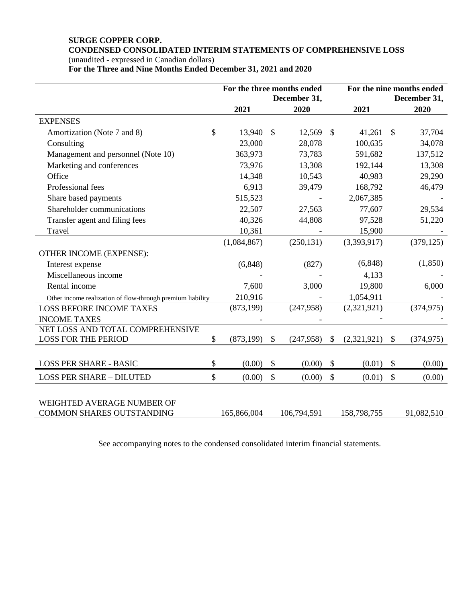# **SURGE COPPER CORP. CONDENSED CONSOLIDATED INTERIM STATEMENTS OF COMPREHENSIVE LOSS**

(unaudited - expressed in Canadian dollars)

**For the Three and Nine Months Ended December 31, 2021 and 2020**

|                                                            |             |               | For the three months ended<br>December 31, | For the nine months ended<br>December 31, |             |               |            |
|------------------------------------------------------------|-------------|---------------|--------------------------------------------|-------------------------------------------|-------------|---------------|------------|
|                                                            | 2021        |               | 2020                                       |                                           | 2021        |               | 2020       |
| <b>EXPENSES</b>                                            |             |               |                                            |                                           |             |               |            |
| \$<br>Amortization (Note 7 and 8)                          | 13,940      | $\mathbb{S}$  | 12,569                                     | $\mathcal{S}$                             | 41,261      | $\mathbb{S}$  | 37,704     |
| Consulting                                                 | 23,000      |               | 28,078                                     |                                           | 100,635     |               | 34,078     |
| Management and personnel (Note 10)                         | 363,973     |               | 73,783                                     |                                           | 591,682     |               | 137,512    |
| Marketing and conferences                                  | 73,976      |               | 13,308                                     |                                           | 192,144     |               | 13,308     |
| Office                                                     | 14,348      |               | 10,543                                     |                                           | 40,983      |               | 29,290     |
| Professional fees                                          | 6,913       |               | 39,479                                     |                                           | 168,792     |               | 46,479     |
| Share based payments                                       | 515,523     |               |                                            |                                           | 2,067,385   |               |            |
| Shareholder communications                                 | 22,507      |               | 27,563                                     |                                           | 77,607      |               | 29,534     |
| Transfer agent and filing fees                             | 40,326      |               | 44,808                                     |                                           | 97,528      |               | 51,220     |
| Travel                                                     | 10,361      |               |                                            |                                           | 15,900      |               |            |
|                                                            | (1,084,867) |               | (250, 131)                                 |                                           | (3,393,917) |               | (379, 125) |
| OTHER INCOME (EXPENSE):                                    |             |               |                                            |                                           |             |               |            |
| Interest expense                                           | (6, 848)    |               | (827)                                      |                                           | (6, 848)    |               | (1, 850)   |
| Miscellaneous income                                       |             |               |                                            |                                           | 4,133       |               |            |
| Rental income                                              | 7,600       |               | 3,000                                      |                                           | 19,800      |               | 6,000      |
| Other income realization of flow-through premium liability | 210,916     |               |                                            |                                           | 1,054,911   |               |            |
| <b>LOSS BEFORE INCOME TAXES</b>                            | (873, 199)  |               | (247,958)                                  |                                           | (2,321,921) |               | (374, 975) |
| <b>INCOME TAXES</b>                                        |             |               |                                            |                                           |             |               |            |
| NET LOSS AND TOTAL COMPREHENSIVE                           |             |               |                                            |                                           |             |               |            |
| \$<br><b>LOSS FOR THE PERIOD</b>                           | (873, 199)  | \$            | (247,958)                                  | \$                                        | (2,321,921) | \$            | (374, 975) |
|                                                            |             |               |                                            |                                           |             |               |            |
| <b>LOSS PER SHARE - BASIC</b><br>\$                        | (0.00)      | \$            | (0.00)                                     | \$                                        | (0.01)      | $\mathcal{S}$ | (0.00)     |
| \$<br><b>LOSS PER SHARE - DILUTED</b>                      | (0.00)      | $\mathcal{S}$ | (0.00)                                     | $\boldsymbol{\mathsf{S}}$                 | (0.01)      | \$            | (0.00)     |
|                                                            |             |               |                                            |                                           |             |               |            |
| WEIGHTED AVERAGE NUMBER OF                                 |             |               |                                            |                                           |             |               |            |
| COMMON SHARES OUTSTANDING                                  | 165,866,004 |               | 106,794,591                                |                                           | 158,798,755 |               | 91,082,510 |

See accompanying notes to the condensed consolidated interim financial statements.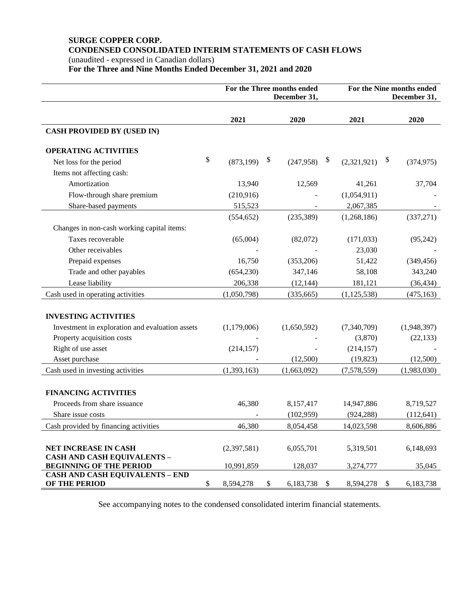# **SURGE COPPER CORP. CONDENSED CONSOLIDATED INTERIM STATEMENTS OF CASH FLOWS**

(unaudited - expressed in Canadian dollars) **For the Three and Nine Months Ended December 31, 2021 and 2020**

|                                                         |                  |                           | For the Three months ended<br>December 31, | For the Nine months ended<br>December 31, |               |                            |             |  |
|---------------------------------------------------------|------------------|---------------------------|--------------------------------------------|-------------------------------------------|---------------|----------------------------|-------------|--|
|                                                         | 2021             |                           | 2020                                       |                                           | 2021          |                            | 2020        |  |
| <b>CASH PROVIDED BY (USED IN)</b>                       |                  |                           |                                            |                                           |               |                            |             |  |
| <b>OPERATING ACTIVITIES</b>                             |                  |                           |                                            |                                           |               |                            |             |  |
| Net loss for the period                                 | \$<br>(873, 199) | $\boldsymbol{\mathsf{S}}$ | (247, 958)                                 | \$                                        | (2,321,921)   | $\boldsymbol{\mathcal{E}}$ | (374, 975)  |  |
| Items not affecting cash:                               |                  |                           |                                            |                                           |               |                            |             |  |
| Amortization                                            | 13,940           |                           | 12,569                                     |                                           | 41,261        |                            | 37,704      |  |
| Flow-through share premium                              | (210,916)        |                           |                                            |                                           | (1,054,911)   |                            |             |  |
| Share-based payments                                    | 515,523          |                           |                                            |                                           | 2,067,385     |                            |             |  |
|                                                         | (554, 652)       |                           | (235, 389)                                 |                                           | (1,268,186)   |                            | (337,271)   |  |
| Changes in non-cash working capital items:              |                  |                           |                                            |                                           |               |                            |             |  |
| Taxes recoverable                                       | (65,004)         |                           | (82,072)                                   |                                           | (171, 033)    |                            | (95,242)    |  |
| Other receivables                                       |                  |                           |                                            |                                           | 23,030        |                            |             |  |
| Prepaid expenses                                        | 16,750           |                           | (353,206)                                  |                                           | 51,422        |                            | (349, 456)  |  |
| Trade and other payables                                | (654, 230)       |                           | 347,146                                    |                                           | 58,108        |                            | 343,240     |  |
| Lease liability                                         | 206,338          |                           | (12, 144)                                  |                                           | 181,121       |                            | (36, 434)   |  |
| Cash used in operating activities                       | (1,050,798)      |                           | (335, 665)                                 |                                           | (1, 125, 538) |                            | (475, 163)  |  |
|                                                         |                  |                           |                                            |                                           |               |                            |             |  |
| <b>INVESTING ACTIVITIES</b>                             |                  |                           |                                            |                                           |               |                            |             |  |
| Investment in exploration and evaluation assets         | (1,179,006)      |                           | (1,650,592)                                |                                           | (7,340,709)   |                            | (1,948,397) |  |
| Property acquisition costs                              |                  |                           |                                            |                                           | (3,870)       |                            | (22, 133)   |  |
| Right of use asset                                      | (214, 157)       |                           |                                            |                                           | (214, 157)    |                            |             |  |
| Asset purchase                                          |                  |                           | (12,500)                                   |                                           | (19, 823)     |                            | (12,500)    |  |
| Cash used in investing activities                       | (1, 393, 163)    |                           | (1,663,092)                                |                                           | (7,578,559)   |                            | (1,983,030) |  |
|                                                         |                  |                           |                                            |                                           |               |                            |             |  |
| <b>FINANCING ACTIVITIES</b>                             |                  |                           |                                            |                                           |               |                            |             |  |
| Proceeds from share issuance                            | 46,380           |                           | 8,157,417                                  |                                           | 14,947,886    |                            | 8,719,527   |  |
| Share issue costs                                       |                  |                           | (102,959)                                  |                                           | (924, 288)    |                            | (112, 641)  |  |
| Cash provided by financing activities                   | 46,380           |                           | 8,054,458                                  |                                           | 14,023,598    |                            | 8,606,886   |  |
| <b>NET INCREASE IN CASH</b>                             | (2,397,581)      |                           | 6,055,701                                  |                                           | 5,319,501     |                            | 6,148,693   |  |
| <b>CASH AND CASH EQUIVALENTS -</b>                      |                  |                           |                                            |                                           |               |                            |             |  |
| <b>BEGINNING OF THE PERIOD</b>                          | 10,991,859       |                           | 128,037                                    |                                           | 3,274,777     |                            | 35,045      |  |
| <b>CASH AND CASH EQUIVALENTS - END</b><br>OF THE PERIOD | \$<br>8,594,278  | \$                        | 6,183,738                                  | \$                                        | 8,594,278     | \$                         | 6,183,738   |  |

See accompanying notes to the condensed consolidated interim financial statements.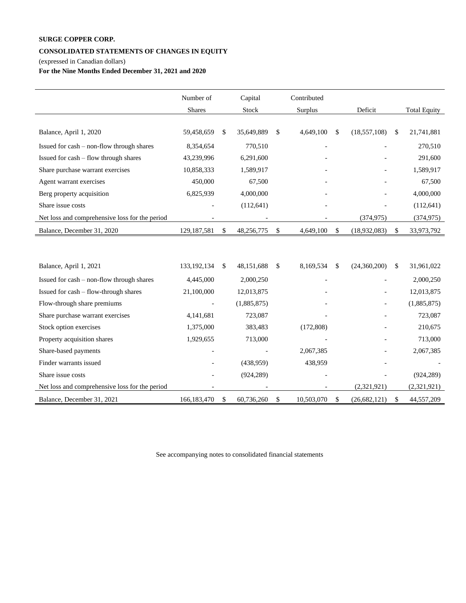#### **CONSOLIDATED STATEMENTS OF CHANGES IN EQUITY**

(expressed in Canadian dollars)

**For the Nine Months Ended December 31, 2021 and 2020**

|                                                | Number of     |              | Capital     | Contributed      |                      |                     |
|------------------------------------------------|---------------|--------------|-------------|------------------|----------------------|---------------------|
|                                                | Shares        |              | Stock       | Surplus          | Deficit              | <b>Total Equity</b> |
|                                                |               |              |             |                  |                      |                     |
| Balance, April 1, 2020                         | 59,458,659    | \$           | 35,649,889  | \$<br>4,649,100  | \$<br>(18, 557, 108) | \$<br>21,741,881    |
| Issued for cash - non-flow through shares      | 8,354,654     |              | 770,510     |                  |                      | 270,510             |
| Issued for cash – flow through shares          | 43,239,996    |              | 6,291,600   |                  |                      | 291,600             |
| Share purchase warrant exercises               | 10,858,333    |              | 1,589,917   |                  |                      | 1,589,917           |
| Agent warrant exercises                        | 450,000       |              | 67,500      |                  |                      | 67,500              |
| Berg property acquisition                      | 6,825,939     |              | 4,000,000   |                  |                      | 4,000,000           |
| Share issue costs                              |               |              | (112, 641)  |                  |                      | (112, 641)          |
| Net loss and comprehensive loss for the period |               |              |             |                  | (374, 975)           | (374, 975)          |
| Balance, December 31, 2020                     | 129, 187, 581 | \$           | 48,256,775  | \$<br>4,649,100  | \$<br>(18,932,083)   | \$<br>33,973,792    |
|                                                |               |              |             |                  |                      |                     |
|                                                |               |              |             |                  |                      |                     |
| Balance, April 1, 2021                         | 133, 192, 134 | \$           | 48,151,688  | \$<br>8,169,534  | \$<br>(24,360,200)   | \$<br>31,961,022    |
| Issued for cash - non-flow through shares      | 4,445,000     |              | 2,000,250   |                  |                      | 2,000,250           |
| Issued for cash - flow-through shares          | 21,100,000    |              | 12,013,875  |                  |                      | 12,013,875          |
| Flow-through share premiums                    |               |              | (1,885,875) |                  |                      | (1,885,875)         |
| Share purchase warrant exercises               | 4,141,681     |              | 723,087     |                  |                      | 723,087             |
| Stock option exercises                         | 1,375,000     |              | 383,483     | (172,808)        |                      | 210,675             |
| Property acquisition shares                    | 1,929,655     |              | 713,000     |                  |                      | 713,000             |
| Share-based payments                           |               |              |             | 2,067,385        |                      | 2,067,385           |
| Finder warrants issued                         |               |              | (438,959)   | 438,959          |                      |                     |
| Share issue costs                              |               |              | (924, 289)  |                  |                      | (924, 289)          |
| Net loss and comprehensive loss for the period |               |              |             |                  | (2,321,921)          | (2,321,921)         |
| Balance, December 31, 2021                     | 166, 183, 470 | $\mathbb{S}$ | 60,736,260  | \$<br>10,503,070 | \$<br>(26,682,121)   | \$<br>44,557,209    |

See accompanying notes to consolidated financial statements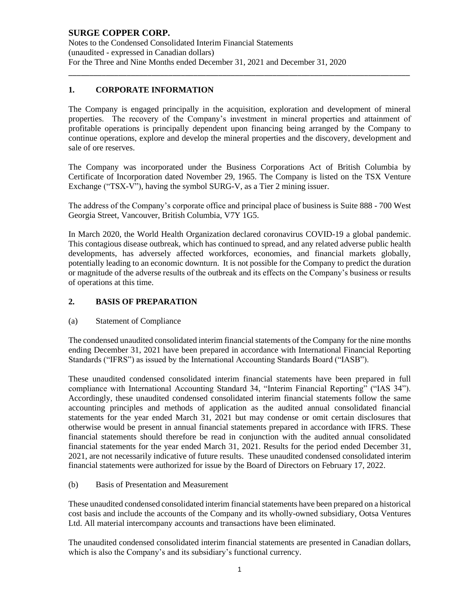#### **SURGE COPPER CORP.** Notes to the Condensed Consolidated Interim Financial Statements (unaudited - expressed in Canadian dollars) For the Three and Nine Months ended December 31, 2021 and December 31, 2020

# **1. CORPORATE INFORMATION**

The Company is engaged principally in the acquisition, exploration and development of mineral properties. The recovery of the Company's investment in mineral properties and attainment of profitable operations is principally dependent upon financing being arranged by the Company to continue operations, explore and develop the mineral properties and the discovery, development and sale of ore reserves.

\_\_\_\_\_\_\_\_\_\_\_\_\_\_\_\_\_\_\_\_\_\_\_\_\_\_\_\_\_\_\_\_\_\_\_\_\_\_\_\_\_\_\_\_\_\_\_\_\_\_\_\_\_\_\_\_\_\_\_\_\_\_\_\_\_\_\_\_\_\_\_\_\_\_\_\_\_\_\_\_\_\_

The Company was incorporated under the Business Corporations Act of British Columbia by Certificate of Incorporation dated November 29, 1965. The Company is listed on the TSX Venture Exchange ("TSX-V"), having the symbol SURG-V, as a Tier 2 mining issuer.

The address of the Company's corporate office and principal place of business is Suite 888 - 700 West Georgia Street, Vancouver, British Columbia, V7Y 1G5.

In March 2020, the World Health Organization declared coronavirus COVID-19 a global pandemic. This contagious disease outbreak, which has continued to spread, and any related adverse public health developments, has adversely affected workforces, economies, and financial markets globally, potentially leading to an economic downturn. It is not possible for the Company to predict the duration or magnitude of the adverse results of the outbreak and its effects on the Company's business or results of operations at this time.

## **2. BASIS OF PREPARATION**

#### (a) Statement of Compliance

The condensed unaudited consolidated interim financial statements of the Company for the nine months ending December 31, 2021 have been prepared in accordance with International Financial Reporting Standards ("IFRS") as issued by the International Accounting Standards Board ("IASB").

These unaudited condensed consolidated interim financial statements have been prepared in full compliance with International Accounting Standard 34, "Interim Financial Reporting" ("IAS 34"). Accordingly, these unaudited condensed consolidated interim financial statements follow the same accounting principles and methods of application as the audited annual consolidated financial statements for the year ended March 31, 2021 but may condense or omit certain disclosures that otherwise would be present in annual financial statements prepared in accordance with IFRS. These financial statements should therefore be read in conjunction with the audited annual consolidated financial statements for the year ended March 31, 2021. Results for the period ended December 31, 2021, are not necessarily indicative of future results. These unaudited condensed consolidated interim financial statements were authorized for issue by the Board of Directors on February 17, 2022.

#### (b) Basis of Presentation and Measurement

These unaudited condensed consolidated interim financial statements have been prepared on a historical cost basis and include the accounts of the Company and its wholly-owned subsidiary, Ootsa Ventures Ltd. All material intercompany accounts and transactions have been eliminated.

The unaudited condensed consolidated interim financial statements are presented in Canadian dollars, which is also the Company's and its subsidiary's functional currency.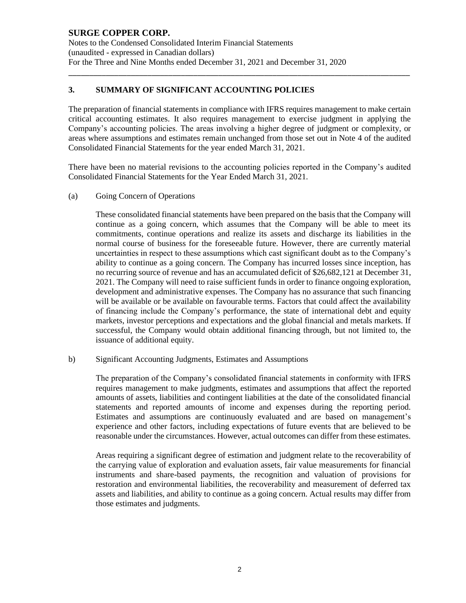Notes to the Condensed Consolidated Interim Financial Statements (unaudited - expressed in Canadian dollars) For the Three and Nine Months ended December 31, 2021 and December 31, 2020

## **3. SUMMARY OF SIGNIFICANT ACCOUNTING POLICIES**

The preparation of financial statements in compliance with IFRS requires management to make certain critical accounting estimates. It also requires management to exercise judgment in applying the Company's accounting policies. The areas involving a higher degree of judgment or complexity, or areas where assumptions and estimates remain unchanged from those set out in Note 4 of the audited Consolidated Financial Statements for the year ended March 31, 2021.

\_\_\_\_\_\_\_\_\_\_\_\_\_\_\_\_\_\_\_\_\_\_\_\_\_\_\_\_\_\_\_\_\_\_\_\_\_\_\_\_\_\_\_\_\_\_\_\_\_\_\_\_\_\_\_\_\_\_\_\_\_\_\_\_\_\_\_\_\_\_\_\_\_\_\_\_\_\_\_\_\_\_

There have been no material revisions to the accounting policies reported in the Company's audited Consolidated Financial Statements for the Year Ended March 31, 2021.

(a) Going Concern of Operations

These consolidated financial statements have been prepared on the basis that the Company will continue as a going concern, which assumes that the Company will be able to meet its commitments, continue operations and realize its assets and discharge its liabilities in the normal course of business for the foreseeable future. However, there are currently material uncertainties in respect to these assumptions which cast significant doubt as to the Company's ability to continue as a going concern. The Company has incurred losses since inception, has no recurring source of revenue and has an accumulated deficit of \$26,682,121 at December 31, 2021. The Company will need to raise sufficient funds in order to finance ongoing exploration, development and administrative expenses. The Company has no assurance that such financing will be available or be available on favourable terms. Factors that could affect the availability of financing include the Company's performance, the state of international debt and equity markets, investor perceptions and expectations and the global financial and metals markets. If successful, the Company would obtain additional financing through, but not limited to, the issuance of additional equity.

b) Significant Accounting Judgments, Estimates and Assumptions

The preparation of the Company's consolidated financial statements in conformity with IFRS requires management to make judgments, estimates and assumptions that affect the reported amounts of assets, liabilities and contingent liabilities at the date of the consolidated financial statements and reported amounts of income and expenses during the reporting period. Estimates and assumptions are continuously evaluated and are based on management's experience and other factors, including expectations of future events that are believed to be reasonable under the circumstances. However, actual outcomes can differ from these estimates.

Areas requiring a significant degree of estimation and judgment relate to the recoverability of the carrying value of exploration and evaluation assets, fair value measurements for financial instruments and share-based payments, the recognition and valuation of provisions for restoration and environmental liabilities, the recoverability and measurement of deferred tax assets and liabilities, and ability to continue as a going concern. Actual results may differ from those estimates and judgments.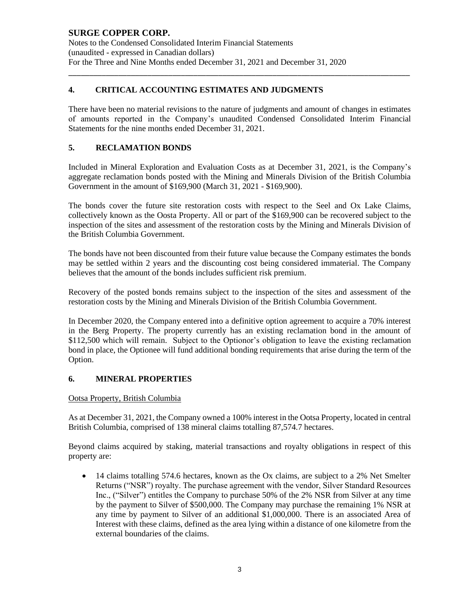Notes to the Condensed Consolidated Interim Financial Statements (unaudited - expressed in Canadian dollars) For the Three and Nine Months ended December 31, 2021 and December 31, 2020

# **4. CRITICAL ACCOUNTING ESTIMATES AND JUDGMENTS**

There have been no material revisions to the nature of judgments and amount of changes in estimates of amounts reported in the Company's unaudited Condensed Consolidated Interim Financial Statements for the nine months ended December 31, 2021.

\_\_\_\_\_\_\_\_\_\_\_\_\_\_\_\_\_\_\_\_\_\_\_\_\_\_\_\_\_\_\_\_\_\_\_\_\_\_\_\_\_\_\_\_\_\_\_\_\_\_\_\_\_\_\_\_\_\_\_\_\_\_\_\_\_\_\_\_\_\_\_\_\_\_\_\_\_\_\_\_\_\_

## **5. RECLAMATION BONDS**

Included in Mineral Exploration and Evaluation Costs as at December 31, 2021, is the Company's aggregate reclamation bonds posted with the Mining and Minerals Division of the British Columbia Government in the amount of \$169,900 (March 31, 2021 - \$169,900).

The bonds cover the future site restoration costs with respect to the Seel and Ox Lake Claims, collectively known as the Oosta Property. All or part of the \$169,900 can be recovered subject to the inspection of the sites and assessment of the restoration costs by the Mining and Minerals Division of the British Columbia Government.

The bonds have not been discounted from their future value because the Company estimates the bonds may be settled within 2 years and the discounting cost being considered immaterial. The Company believes that the amount of the bonds includes sufficient risk premium.

Recovery of the posted bonds remains subject to the inspection of the sites and assessment of the restoration costs by the Mining and Minerals Division of the British Columbia Government.

In December 2020, the Company entered into a definitive option agreement to acquire a 70% interest in the Berg Property. The property currently has an existing reclamation bond in the amount of \$112,500 which will remain. Subject to the Optionor's obligation to leave the existing reclamation bond in place, the Optionee will fund additional bonding requirements that arise during the term of the Option.

## **6. MINERAL PROPERTIES**

#### Ootsa Property, British Columbia

As at December 31, 2021, the Company owned a 100% interest in the Ootsa Property, located in central British Columbia, comprised of 138 mineral claims totalling 87,574.7 hectares.

Beyond claims acquired by staking, material transactions and royalty obligations in respect of this property are:

• 14 claims totalling 574.6 hectares, known as the Ox claims, are subject to a 2% Net Smelter Returns ("NSR") royalty. The purchase agreement with the vendor, Silver Standard Resources Inc., ("Silver") entitles the Company to purchase 50% of the 2% NSR from Silver at any time by the payment to Silver of \$500,000. The Company may purchase the remaining 1% NSR at any time by payment to Silver of an additional \$1,000,000. There is an associated Area of Interest with these claims, defined as the area lying within a distance of one kilometre from the external boundaries of the claims.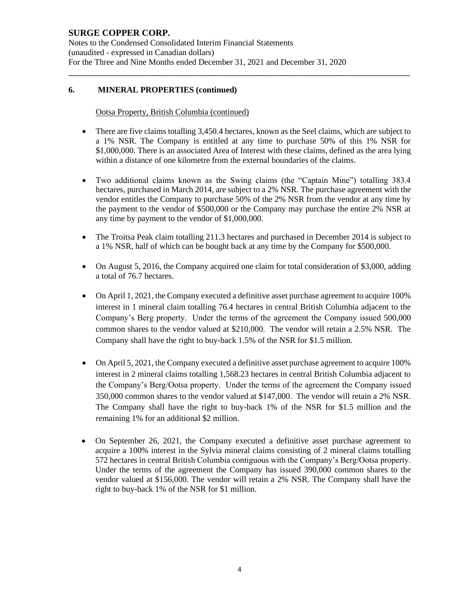Notes to the Condensed Consolidated Interim Financial Statements (unaudited - expressed in Canadian dollars) For the Three and Nine Months ended December 31, 2021 and December 31, 2020

## **6. MINERAL PROPERTIES (continued)**

#### Ootsa Property, British Columbia (continued)

• There are five claims totalling 3,450.4 hectares, known as the Seel claims, which are subject to a 1% NSR. The Company is entitled at any time to purchase 50% of this 1% NSR for \$1,000,000. There is an associated Area of Interest with these claims, defined as the area lying within a distance of one kilometre from the external boundaries of the claims.

\_\_\_\_\_\_\_\_\_\_\_\_\_\_\_\_\_\_\_\_\_\_\_\_\_\_\_\_\_\_\_\_\_\_\_\_\_\_\_\_\_\_\_\_\_\_\_\_\_\_\_\_\_\_\_\_\_\_\_\_\_\_\_\_\_\_\_\_\_\_\_\_\_\_\_\_\_\_\_\_\_\_

- Two additional claims known as the Swing claims (the "Captain Mine") totalling 383.4 hectares, purchased in March 2014, are subject to a 2% NSR. The purchase agreement with the vendor entitles the Company to purchase 50% of the 2% NSR from the vendor at any time by the payment to the vendor of \$500,000 or the Company may purchase the entire 2% NSR at any time by payment to the vendor of \$1,000,000.
- The Troitsa Peak claim totalling 211.3 hectares and purchased in December 2014 is subject to a 1% NSR, half of which can be bought back at any time by the Company for \$500,000.
- On August 5, 2016, the Company acquired one claim for total consideration of \$3,000, adding a total of 76.7 hectares.
- On April 1, 2021, the Company executed a definitive asset purchase agreement to acquire 100% interest in 1 mineral claim totalling 76.4 hectares in central British Columbia adjacent to the Company's Berg property. Under the terms of the agreement the Company issued 500,000 common shares to the vendor valued at \$210,000. The vendor will retain a 2.5% NSR. The Company shall have the right to buy-back 1.5% of the NSR for \$1.5 million.
- On April 5, 2021, the Company executed a definitive asset purchase agreement to acquire 100% interest in 2 mineral claims totalling 1,568.23 hectares in central British Columbia adjacent to the Company's Berg/Ootsa property. Under the terms of the agreement the Company issued 350,000 common shares to the vendor valued at \$147,000. The vendor will retain a 2% NSR. The Company shall have the right to buy-back 1% of the NSR for \$1.5 million and the remaining 1% for an additional \$2 million.
- On September 26, 2021, the Company executed a definitive asset purchase agreement to acquire a 100% interest in the Sylvia mineral claims consisting of 2 mineral claims totalling 572 hectares in central British Columbia contiguous with the Company's Berg/Ootsa property. Under the terms of the agreement the Company has issued 390,000 common shares to the vendor valued at \$156,000. The vendor will retain a 2% NSR. The Company shall have the right to buy-back 1% of the NSR for \$1 million.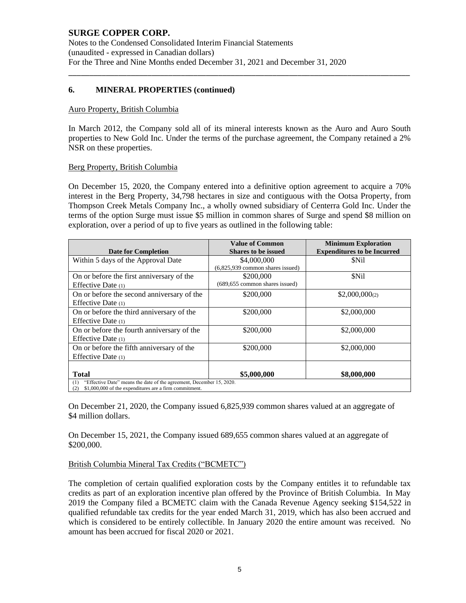Notes to the Condensed Consolidated Interim Financial Statements (unaudited - expressed in Canadian dollars) For the Three and Nine Months ended December 31, 2021 and December 31, 2020

### **6. MINERAL PROPERTIES (continued)**

#### Auro Property, British Columbia

In March 2012, the Company sold all of its mineral interests known as the Auro and Auro South properties to New Gold Inc. Under the terms of the purchase agreement, the Company retained a 2% NSR on these properties.

\_\_\_\_\_\_\_\_\_\_\_\_\_\_\_\_\_\_\_\_\_\_\_\_\_\_\_\_\_\_\_\_\_\_\_\_\_\_\_\_\_\_\_\_\_\_\_\_\_\_\_\_\_\_\_\_\_\_\_\_\_\_\_\_\_\_\_\_\_\_\_\_\_\_\_\_\_\_\_\_\_\_

#### Berg Property, British Columbia

On December 15, 2020, the Company entered into a definitive option agreement to acquire a 70% interest in the Berg Property, 34,798 hectares in size and contiguous with the Ootsa Property, from Thompson Creek Metals Company Inc., a wholly owned subsidiary of Centerra Gold Inc. Under the terms of the option Surge must issue \$5 million in common shares of Surge and spend \$8 million on exploration, over a period of up to five years as outlined in the following table:

|                                                                             | <b>Value of Common</b>             | <b>Minimum Exploration</b>         |
|-----------------------------------------------------------------------------|------------------------------------|------------------------------------|
| <b>Date for Completion</b>                                                  | <b>Shares to be issued</b>         | <b>Expenditures to be Incurred</b> |
| Within 5 days of the Approval Date                                          | \$4,000,000                        | <b>SNil</b>                        |
|                                                                             | $(6,825,939$ common shares issued) |                                    |
| On or before the first anniversary of the                                   | \$200,000                          | \$Nil                              |
| Effective Date $(1)$                                                        | (689,655 common shares issued)     |                                    |
| On or before the second anniversary of the                                  | \$200,000                          | $$2,000,000$ <sub>(2)</sub>        |
| Effective Date $(1)$                                                        |                                    |                                    |
| On or before the third anniversary of the                                   | \$200,000                          | \$2,000,000                        |
| Effective Date $(1)$                                                        |                                    |                                    |
| On or before the fourth anniversary of the                                  | \$200,000                          | \$2,000,000                        |
| Effective Date (1)                                                          |                                    |                                    |
| On or before the fifth anniversary of the                                   | \$200,000                          | \$2,000,000                        |
| Effective Date $(1)$                                                        |                                    |                                    |
|                                                                             |                                    |                                    |
| <b>Total</b>                                                                | \$5,000,000                        | \$8,000,000                        |
| "Effective Date" means the date of the agreement, December 15, 2020.<br>(1) |                                    |                                    |
| \$1,000,000 of the expenditures are a firm commitment.<br>(2)               |                                    |                                    |

On December 21, 2020, the Company issued 6,825,939 common shares valued at an aggregate of \$4 million dollars.

On December 15, 2021, the Company issued 689,655 common shares valued at an aggregate of \$200,000.

#### British Columbia Mineral Tax Credits ("BCMETC")

The completion of certain qualified exploration costs by the Company entitles it to refundable tax credits as part of an exploration incentive plan offered by the Province of British Columbia. In May 2019 the Company filed a BCMETC claim with the Canada Revenue Agency seeking \$154,522 in qualified refundable tax credits for the year ended March 31, 2019, which has also been accrued and which is considered to be entirely collectible. In January 2020 the entire amount was received. No amount has been accrued for fiscal 2020 or 2021.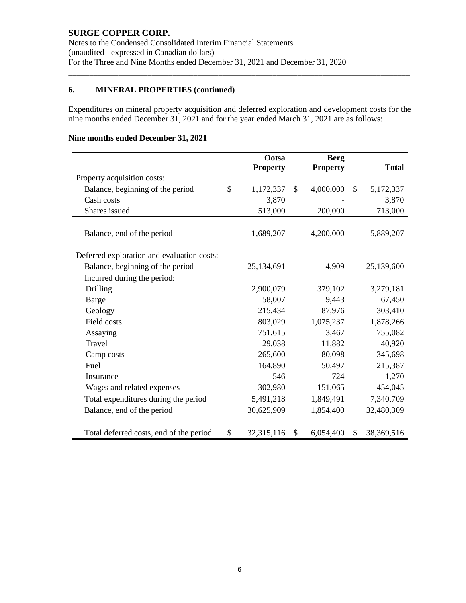Notes to the Condensed Consolidated Interim Financial Statements (unaudited - expressed in Canadian dollars) For the Three and Nine Months ended December 31, 2021 and December 31, 2020

# **6. MINERAL PROPERTIES (continued)**

Expenditures on mineral property acquisition and deferred exploration and development costs for the nine months ended December 31, 2021 and for the year ended March 31, 2021 are as follows:

\_\_\_\_\_\_\_\_\_\_\_\_\_\_\_\_\_\_\_\_\_\_\_\_\_\_\_\_\_\_\_\_\_\_\_\_\_\_\_\_\_\_\_\_\_\_\_\_\_\_\_\_\_\_\_\_\_\_\_\_\_\_\_\_\_\_\_\_\_\_\_\_\_\_\_\_\_\_\_\_\_\_

# **Nine months ended December 31, 2021**

|                                            | Ootsa            | <b>Berg</b>     |              |              |
|--------------------------------------------|------------------|-----------------|--------------|--------------|
|                                            | <b>Property</b>  | <b>Property</b> |              | <b>Total</b> |
| Property acquisition costs:                |                  |                 |              |              |
| Balance, beginning of the period           | \$<br>1,172,337  | \$<br>4,000,000 | $\mathbb{S}$ | 5,172,337    |
| Cash costs                                 | 3,870            |                 |              | 3,870        |
| Shares issued                              | 513,000          | 200,000         |              | 713,000      |
|                                            |                  |                 |              |              |
| Balance, end of the period                 | 1,689,207        | 4,200,000       |              | 5,889,207    |
|                                            |                  |                 |              |              |
| Deferred exploration and evaluation costs: |                  |                 |              |              |
| Balance, beginning of the period           | 25,134,691       | 4,909           |              | 25,139,600   |
| Incurred during the period:                |                  |                 |              |              |
| Drilling                                   | 2,900,079        | 379,102         |              | 3,279,181    |
| Barge                                      | 58,007           | 9,443           |              | 67,450       |
| Geology                                    | 215,434          | 87,976          |              | 303,410      |
| Field costs                                | 803,029          | 1,075,237       |              | 1,878,266    |
| Assaying                                   | 751,615          | 3,467           |              | 755,082      |
| Travel                                     | 29,038           | 11,882          |              | 40,920       |
| Camp costs                                 | 265,600          | 80,098          |              | 345,698      |
| Fuel                                       | 164,890          | 50,497          |              | 215,387      |
| Insurance                                  | 546              | 724             |              | 1,270        |
| Wages and related expenses                 | 302,980          | 151,065         |              | 454,045      |
| Total expenditures during the period       | 5,491,218        | 1,849,491       |              | 7,340,709    |
| Balance, end of the period                 | 30,625,909       | 1,854,400       |              | 32,480,309   |
|                                            |                  |                 |              |              |
| Total deferred costs, end of the period    | \$<br>32,315,116 | \$<br>6,054,400 | \$           | 38,369,516   |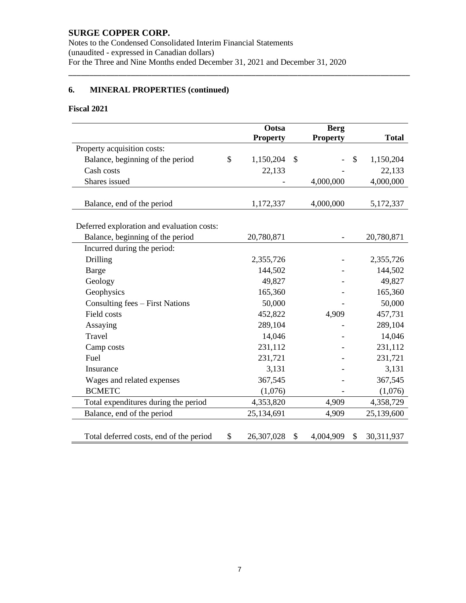Notes to the Condensed Consolidated Interim Financial Statements (unaudited - expressed in Canadian dollars) For the Three and Nine Months ended December 31, 2021 and December 31, 2020

\_\_\_\_\_\_\_\_\_\_\_\_\_\_\_\_\_\_\_\_\_\_\_\_\_\_\_\_\_\_\_\_\_\_\_\_\_\_\_\_\_\_\_\_\_\_\_\_\_\_\_\_\_\_\_\_\_\_\_\_\_\_\_\_\_\_\_\_\_\_\_\_\_\_\_\_\_\_\_\_\_\_

# **6. MINERAL PROPERTIES (continued)**

## **Fiscal 2021**

|                                            | Ootsa            | <b>Berg</b>              |               |              |
|--------------------------------------------|------------------|--------------------------|---------------|--------------|
|                                            | <b>Property</b>  | <b>Property</b>          |               | <b>Total</b> |
| Property acquisition costs:                |                  |                          |               |              |
| Balance, beginning of the period           | \$<br>1,150,204  | \$                       | $\mathcal{S}$ | 1,150,204    |
| Cash costs                                 | 22,133           |                          |               | 22,133       |
| Shares issued                              |                  | 4,000,000                |               | 4,000,000    |
|                                            |                  |                          |               |              |
| Balance, end of the period                 | 1,172,337        | 4,000,000                |               | 5,172,337    |
|                                            |                  |                          |               |              |
| Deferred exploration and evaluation costs: |                  |                          |               |              |
| Balance, beginning of the period           | 20,780,871       | $\overline{\phantom{0}}$ |               | 20,780,871   |
| Incurred during the period:                |                  |                          |               |              |
| Drilling                                   | 2,355,726        |                          |               | 2,355,726    |
| Barge                                      | 144,502          |                          |               | 144,502      |
| Geology                                    | 49,827           |                          |               | 49,827       |
| Geophysics                                 | 165,360          |                          |               | 165,360      |
| Consulting fees - First Nations            | 50,000           |                          |               | 50,000       |
| Field costs                                | 452,822          | 4,909                    |               | 457,731      |
| Assaying                                   | 289,104          |                          |               | 289,104      |
| <b>Travel</b>                              | 14,046           |                          |               | 14,046       |
| Camp costs                                 | 231,112          |                          |               | 231,112      |
| Fuel                                       | 231,721          |                          |               | 231,721      |
| Insurance                                  | 3,131            |                          |               | 3,131        |
| Wages and related expenses                 | 367,545          |                          |               | 367,545      |
| <b>BCMETC</b>                              | (1,076)          |                          |               | (1,076)      |
| Total expenditures during the period       | 4,353,820        | 4,909                    |               | 4,358,729    |
| Balance, end of the period                 | 25,134,691       | 4,909                    |               | 25,139,600   |
|                                            |                  |                          |               |              |
| Total deferred costs, end of the period    | \$<br>26,307,028 | \$<br>4,004,909          | \$            | 30,311,937   |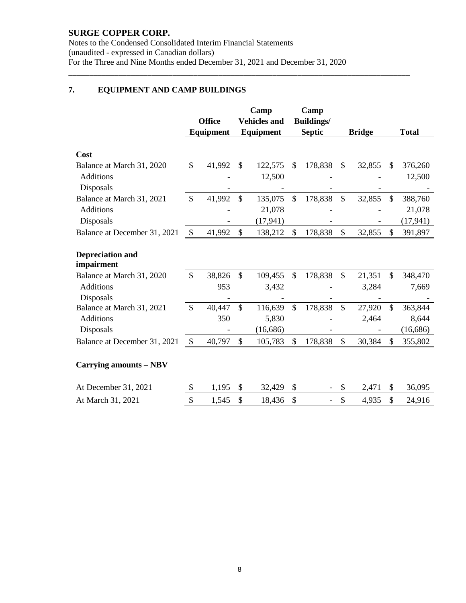Notes to the Condensed Consolidated Interim Financial Statements (unaudited - expressed in Canadian dollars) For the Three and Nine Months ended December 31, 2021 and December 31, 2020

\_\_\_\_\_\_\_\_\_\_\_\_\_\_\_\_\_\_\_\_\_\_\_\_\_\_\_\_\_\_\_\_\_\_\_\_\_\_\_\_\_\_\_\_\_\_\_\_\_\_\_\_\_\_\_\_\_\_\_\_\_\_\_\_\_\_\_\_\_\_\_\_\_\_\_\_\_\_\_\_\_\_

# **7. EQUIPMENT AND CAMP BUILDINGS**

|                                               |               |               |               | Camp                |               | Camp              |               |                 |               |                  |
|-----------------------------------------------|---------------|---------------|---------------|---------------------|---------------|-------------------|---------------|-----------------|---------------|------------------|
|                                               |               | <b>Office</b> |               | <b>Vehicles and</b> |               | <b>Buildings/</b> |               |                 |               |                  |
|                                               |               | Equipment     |               | Equipment           |               | <b>Septic</b>     |               | <b>Bridge</b>   |               | <b>Total</b>     |
| Cost                                          |               |               |               |                     |               |                   |               |                 |               |                  |
| Balance at March 31, 2020                     | \$            | 41,992        | \$.           | 122,575             | \$            | 178,838           | $\mathbb{S}$  | 32,855          | \$.           | 376,260          |
| <b>Additions</b><br>Disposals                 |               |               |               | 12,500              |               |                   |               |                 |               | 12,500           |
| Balance at March 31, 2021                     | \$            | 41,992        | $\mathcal{S}$ | 135,075             | \$            | 178,838           | $\mathbb{S}$  | 32,855          | \$            | 388,760          |
| <b>Additions</b>                              |               |               |               | 21,078              |               |                   |               |                 |               | 21,078           |
| Disposals                                     |               |               |               | (17, 941)           |               |                   |               |                 |               | (17, 941)        |
| Balance at December 31, 2021                  | \$            | 41,992        | $\mathcal{S}$ | 138,212             | \$            | 178,838           | \$            | 32,855          | \$            | 391,897          |
| <b>Depreciation and</b><br>impairment         |               |               |               |                     |               |                   |               |                 |               |                  |
| Balance at March 31, 2020<br><b>Additions</b> | $\mathcal{S}$ | 38,826<br>953 | $\mathcal{S}$ | 109,455<br>3,432    | $\mathcal{S}$ | 178,838           | $\mathcal{S}$ | 21,351<br>3,284 | \$            | 348,470<br>7,669 |
| Disposals                                     |               |               |               |                     |               |                   |               |                 |               |                  |
| Balance at March 31, 2021                     | $\mathcal{S}$ | 40,447        | $\mathcal{S}$ | 116,639             | $\mathbb{S}$  | 178,838           | $\mathbb{S}$  | 27,920          | $\mathcal{S}$ | 363,844          |
| <b>Additions</b>                              |               | 350           |               | 5,830               |               |                   |               | 2,464           |               | 8,644            |
| Disposals                                     |               |               |               | (16,686)            |               |                   |               |                 |               | (16, 686)        |
| Balance at December 31, 2021                  | \$            | 40,797        | $\mathcal{S}$ | 105,783             | \$            | 178,838           | \$            | 30,384          | \$            | 355,802          |
| Carrying amounts – NBV                        |               |               |               |                     |               |                   |               |                 |               |                  |
| At December 31, 2021                          | \$            | 1,195         | \$            | 32,429              | \$            |                   | \$            | 2,471           | \$            | 36,095           |
| At March 31, 2021                             | \$            | 1,545         | \$            | 18,436              | \$            |                   | \$            | 4,935           | \$            | 24,916           |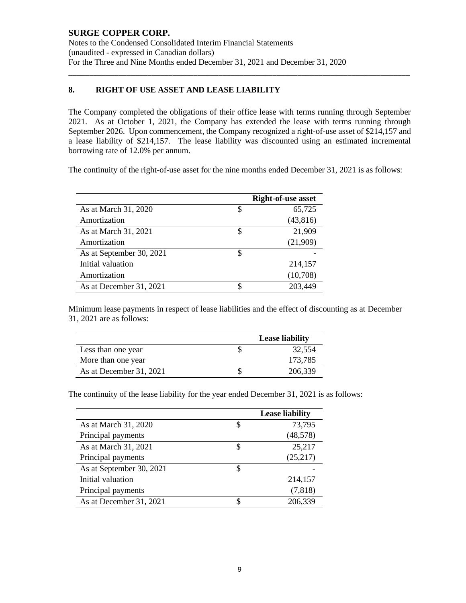Notes to the Condensed Consolidated Interim Financial Statements (unaudited - expressed in Canadian dollars) For the Three and Nine Months ended December 31, 2021 and December 31, 2020

## **8. RIGHT OF USE ASSET AND LEASE LIABILITY**

The Company completed the obligations of their office lease with terms running through September 2021. As at October 1, 2021, the Company has extended the lease with terms running through September 2026. Upon commencement, the Company recognized a right-of-use asset of \$214,157 and a lease liability of \$214,157. The lease liability was discounted using an estimated incremental borrowing rate of 12.0% per annum.

\_\_\_\_\_\_\_\_\_\_\_\_\_\_\_\_\_\_\_\_\_\_\_\_\_\_\_\_\_\_\_\_\_\_\_\_\_\_\_\_\_\_\_\_\_\_\_\_\_\_\_\_\_\_\_\_\_\_\_\_\_\_\_\_\_\_\_\_\_\_\_\_\_\_\_\_\_\_\_\_\_\_

The continuity of the right-of-use asset for the nine months ended December 31, 2021 is as follows:

|                          |    | <b>Right-of-use asset</b> |
|--------------------------|----|---------------------------|
| As at March 31, 2020     | S  | 65,725                    |
| Amortization             |    | (43, 816)                 |
| As at March 31, 2021     | \$ | 21,909                    |
| Amortization             |    | (21,909)                  |
| As at September 30, 2021 | S  |                           |
| Initial valuation        |    | 214,157                   |
| Amortization             |    | (10,708)                  |
| As at December 31, 2021  |    | 203,449                   |

Minimum lease payments in respect of lease liabilities and the effect of discounting as at December 31, 2021 are as follows:

|                         | <b>Lease liability</b> |
|-------------------------|------------------------|
| Less than one year      | 32.554                 |
| More than one year      | 173.785                |
| As at December 31, 2021 | 206,339                |

The continuity of the lease liability for the year ended December 31, 2021 is as follows:

|                          |    | <b>Lease liability</b> |
|--------------------------|----|------------------------|
| As at March 31, 2020     | \$ | 73,795                 |
| Principal payments       |    | (48, 578)              |
| As at March 31, 2021     | \$ | 25,217                 |
| Principal payments       |    | (25,217)               |
| As at September 30, 2021 | S  |                        |
| Initial valuation        |    | 214,157                |
| Principal payments       |    | (7, 818)               |
| As at December 31, 2021  |    | 206,339                |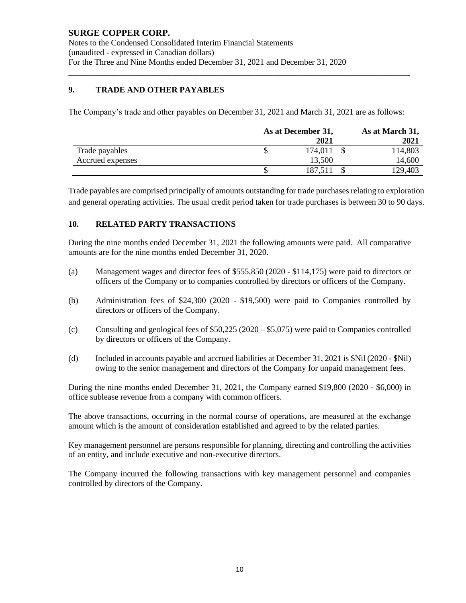# **9. TRADE AND OTHER PAYABLES**

The Company's trade and other payables on December 31, 2021 and March 31, 2021 are as follows:

\_\_\_\_\_\_\_\_\_\_\_\_\_\_\_\_\_\_\_\_\_\_\_\_\_\_\_\_\_\_\_\_\_\_\_\_\_\_\_\_\_\_\_\_\_\_\_\_\_\_\_\_\_\_\_\_\_\_\_\_\_\_\_\_\_\_\_\_\_\_\_\_\_\_\_\_\_\_\_\_\_\_

|                  | As at December 31, |  |         |  |
|------------------|--------------------|--|---------|--|
|                  | 2021               |  | 2021    |  |
| Trade payables   | 174,011            |  | 114,803 |  |
| Accrued expenses | 13,500             |  | 14,600  |  |
|                  | 187,511            |  | 129,403 |  |

Trade payables are comprised principally of amounts outstanding for trade purchases relating to exploration and general operating activities. The usual credit period taken for trade purchases is between 30 to 90 days.

### **10. RELATED PARTY TRANSACTIONS**

During the nine months ended December 31, 2021 the following amounts were paid. All comparative amounts are for the nine months ended December 31, 2020.

- (a) Management wages and director fees of \$555,850 (2020 \$114,175) were paid to directors or officers of the Company or to companies controlled by directors or officers of the Company.
- (b) Administration fees of \$24,300 (2020 \$19,500) were paid to Companies controlled by directors or officers of the Company.
- (c) Consulting and geological fees of \$50,225 (2020 \$5,075) were paid to Companies controlled by directors or officers of the Company.
- (d) Included in accounts payable and accrued liabilities at December 31, 2021 is \$Nil (2020 \$Nil) owing to the senior management and directors of the Company for unpaid management fees.

During the nine months ended December 31, 2021, the Company earned \$19,800 (2020 - \$6,000) in office sublease revenue from a company with common officers.

The above transactions, occurring in the normal course of operations, are measured at the exchange amount which is the amount of consideration established and agreed to by the related parties.

Key management personnel are persons responsible for planning, directing and controlling the activities of an entity, and include executive and non-executive directors.

The Company incurred the following transactions with key management personnel and companies controlled by directors of the Company.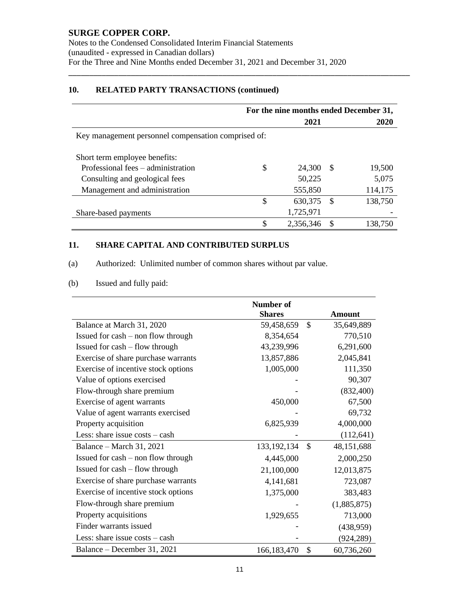Notes to the Condensed Consolidated Interim Financial Statements (unaudited - expressed in Canadian dollars) For the Three and Nine Months ended December 31, 2021 and December 31, 2020

# **10. RELATED PARTY TRANSACTIONS (continued)**

|                                                     | For the nine months ended December 31, |           |    |         |  |  |
|-----------------------------------------------------|----------------------------------------|-----------|----|---------|--|--|
|                                                     |                                        | 2021      |    | 2020    |  |  |
| Key management personnel compensation comprised of: |                                        |           |    |         |  |  |
| Short term employee benefits:                       |                                        |           |    |         |  |  |
| Professional fees – administration                  | \$                                     | 24,300    | -8 | 19,500  |  |  |
| Consulting and geological fees                      |                                        | 50,225    |    | 5,075   |  |  |
| Management and administration                       |                                        | 555,850   |    | 114,175 |  |  |
|                                                     | \$                                     | 630,375   | -S | 138,750 |  |  |
| Share-based payments                                |                                        | 1,725,971 |    |         |  |  |
|                                                     | \$                                     | 2,356,346 |    | 138,750 |  |  |

\_\_\_\_\_\_\_\_\_\_\_\_\_\_\_\_\_\_\_\_\_\_\_\_\_\_\_\_\_\_\_\_\_\_\_\_\_\_\_\_\_\_\_\_\_\_\_\_\_\_\_\_\_\_\_\_\_\_\_\_\_\_\_\_\_\_\_\_\_\_\_\_\_\_\_\_\_\_\_\_\_\_

# **11. SHARE CAPITAL AND CONTRIBUTED SURPLUS**

(a) Authorized: Unlimited number of common shares without par value.

# (b) Issued and fully paid:

|                                      | Number of     |               |               |
|--------------------------------------|---------------|---------------|---------------|
|                                      | <b>Shares</b> |               | <b>Amount</b> |
| Balance at March 31, 2020            | 59,458,659    | $\mathcal{S}$ | 35,649,889    |
| Issued for $cash - non$ flow through | 8,354,654     |               | 770,510       |
| Issued for $cash$ – flow through     | 43,239,996    |               | 6,291,600     |
| Exercise of share purchase warrants  | 13,857,886    |               | 2,045,841     |
| Exercise of incentive stock options  | 1,005,000     |               | 111,350       |
| Value of options exercised           |               |               | 90,307        |
| Flow-through share premium           |               |               | (832,400)     |
| Exercise of agent warrants           | 450,000       |               | 67,500        |
| Value of agent warrants exercised    |               |               | 69,732        |
| Property acquisition                 | 6,825,939     |               | 4,000,000     |
| Less: share issue $costs - cash$     |               |               | (112, 641)    |
| Balance – March 31, 2021             | 133, 192, 134 | <sup>\$</sup> | 48, 151, 688  |
| Issued for $cash - non$ flow through | 4,445,000     |               | 2,000,250     |
| Issued for $cash$ – flow through     | 21,100,000    |               | 12,013,875    |
| Exercise of share purchase warrants  | 4, 141, 681   |               | 723,087       |
| Exercise of incentive stock options  | 1,375,000     |               | 383,483       |
| Flow-through share premium           |               |               | (1,885,875)   |
| Property acquisitions                | 1,929,655     |               | 713,000       |
| Finder warrants issued               |               |               | (438, 959)    |
| Less: share issue $costs - cash$     |               |               | (924, 289)    |
| Balance – December 31, 2021          | 166, 183, 470 | \$            | 60,736,260    |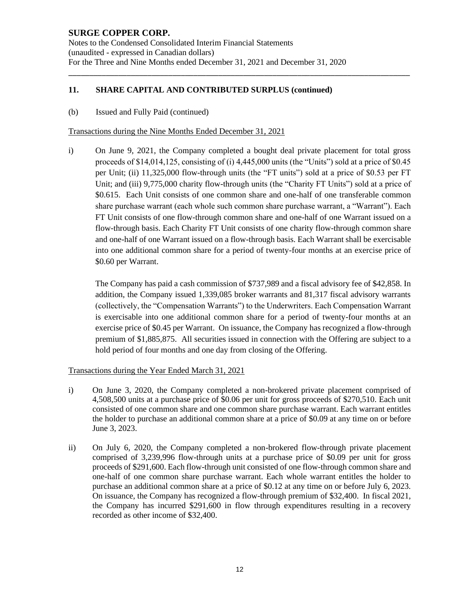## **11. SHARE CAPITAL AND CONTRIBUTED SURPLUS (continued)**

(b) Issued and Fully Paid (continued)

Transactions during the Nine Months Ended December 31, 2021

i) On June 9, 2021, the Company completed a bought deal private placement for total gross proceeds of \$14,014,125, consisting of (i) 4,445,000 units (the "Units") sold at a price of \$0.45 per Unit; (ii) 11,325,000 flow-through units (the "FT units") sold at a price of \$0.53 per FT Unit; and (iii) 9,775,000 charity flow-through units (the "Charity FT Units") sold at a price of \$0.615. Each Unit consists of one common share and one-half of one transferable common share purchase warrant (each whole such common share purchase warrant, a "Warrant"). Each FT Unit consists of one flow-through common share and one-half of one Warrant issued on a flow-through basis. Each Charity FT Unit consists of one charity flow-through common share and one-half of one Warrant issued on a flow-through basis. Each Warrant shall be exercisable into one additional common share for a period of twenty-four months at an exercise price of \$0.60 per Warrant.

\_\_\_\_\_\_\_\_\_\_\_\_\_\_\_\_\_\_\_\_\_\_\_\_\_\_\_\_\_\_\_\_\_\_\_\_\_\_\_\_\_\_\_\_\_\_\_\_\_\_\_\_\_\_\_\_\_\_\_\_\_\_\_\_\_\_\_\_\_\_\_\_\_\_\_\_\_\_\_\_\_\_

The Company has paid a cash commission of \$737,989 and a fiscal advisory fee of \$42,858. In addition, the Company issued 1,339,085 broker warrants and 81,317 fiscal advisory warrants (collectively, the "Compensation Warrants") to the Underwriters. Each Compensation Warrant is exercisable into one additional common share for a period of twenty-four months at an exercise price of \$0.45 per Warrant. On issuance, the Company has recognized a flow-through premium of \$1,885,875. All securities issued in connection with the Offering are subject to a hold period of four months and one day from closing of the Offering.

## Transactions during the Year Ended March 31, 2021

- i) On June 3, 2020, the Company completed a non-brokered private placement comprised of 4,508,500 units at a purchase price of \$0.06 per unit for gross proceeds of \$270,510. Each unit consisted of one common share and one common share purchase warrant. Each warrant entitles the holder to purchase an additional common share at a price of \$0.09 at any time on or before June 3, 2023.
- ii) On July 6, 2020, the Company completed a non-brokered flow-through private placement comprised of 3,239,996 flow-through units at a purchase price of \$0.09 per unit for gross proceeds of \$291,600. Each flow-through unit consisted of one flow-through common share and one-half of one common share purchase warrant. Each whole warrant entitles the holder to purchase an additional common share at a price of \$0.12 at any time on or before July 6, 2023. On issuance, the Company has recognized a flow-through premium of \$32,400. In fiscal 2021, the Company has incurred \$291,600 in flow through expenditures resulting in a recovery recorded as other income of \$32,400.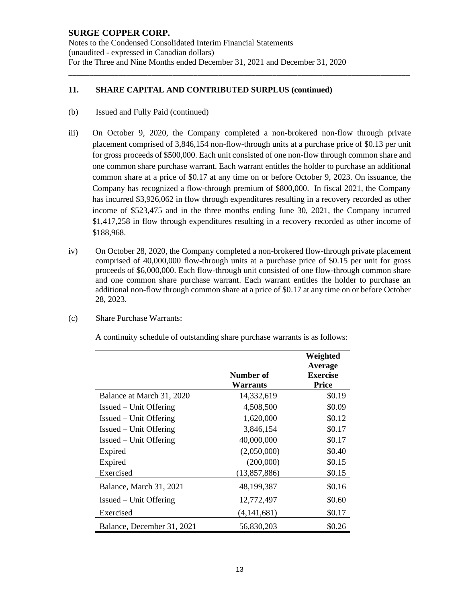Notes to the Condensed Consolidated Interim Financial Statements (unaudited - expressed in Canadian dollars) For the Three and Nine Months ended December 31, 2021 and December 31, 2020

### **11. SHARE CAPITAL AND CONTRIBUTED SURPLUS (continued)**

- (b) Issued and Fully Paid (continued)
- iii) On October 9, 2020, the Company completed a non-brokered non-flow through private placement comprised of 3,846,154 non-flow-through units at a purchase price of \$0.13 per unit for gross proceeds of \$500,000. Each unit consisted of one non-flow through common share and one common share purchase warrant. Each warrant entitles the holder to purchase an additional common share at a price of \$0.17 at any time on or before October 9, 2023. On issuance, the Company has recognized a flow-through premium of \$800,000. In fiscal 2021, the Company has incurred \$3,926,062 in flow through expenditures resulting in a recovery recorded as other income of \$523,475 and in the three months ending June 30, 2021, the Company incurred \$1,417,258 in flow through expenditures resulting in a recovery recorded as other income of \$188,968.

\_\_\_\_\_\_\_\_\_\_\_\_\_\_\_\_\_\_\_\_\_\_\_\_\_\_\_\_\_\_\_\_\_\_\_\_\_\_\_\_\_\_\_\_\_\_\_\_\_\_\_\_\_\_\_\_\_\_\_\_\_\_\_\_\_\_\_\_\_\_\_\_\_\_\_\_\_\_\_\_\_\_

- iv) On October 28, 2020, the Company completed a non-brokered flow-through private placement comprised of 40,000,000 flow-through units at a purchase price of \$0.15 per unit for gross proceeds of \$6,000,000. Each flow-through unit consisted of one flow-through common share and one common share purchase warrant. Each warrant entitles the holder to purchase an additional non-flow through common share at a price of \$0.17 at any time on or before October 28, 2023.
- (c) Share Purchase Warrants:

A continuity schedule of outstanding share purchase warrants is as follows:

|                            | Number of<br>Warrants | Weighted<br>Average<br><b>Exercise</b><br><b>Price</b> |
|----------------------------|-----------------------|--------------------------------------------------------|
| Balance at March 31, 2020  | 14,332,619            | \$0.19                                                 |
| Issued – Unit Offering     | 4,508,500             | \$0.09                                                 |
| Issued – Unit Offering     | 1,620,000             | \$0.12                                                 |
| $I$ ssued – Unit Offering  | 3,846,154             | \$0.17                                                 |
| $I$ ssued – Unit Offering  | 40,000,000            | \$0.17                                                 |
| Expired                    | (2,050,000)           | \$0.40                                                 |
| Expired                    | (200,000)             | \$0.15                                                 |
| Exercised                  | (13,857,886)          | \$0.15                                                 |
| Balance, March 31, 2021    | 48,199,387            | \$0.16                                                 |
| $I$ ssued – Unit Offering  | 12,772,497            | \$0.60                                                 |
| Exercised                  | (4, 141, 681)         | \$0.17                                                 |
| Balance, December 31, 2021 | 56,830,203            | \$0.26                                                 |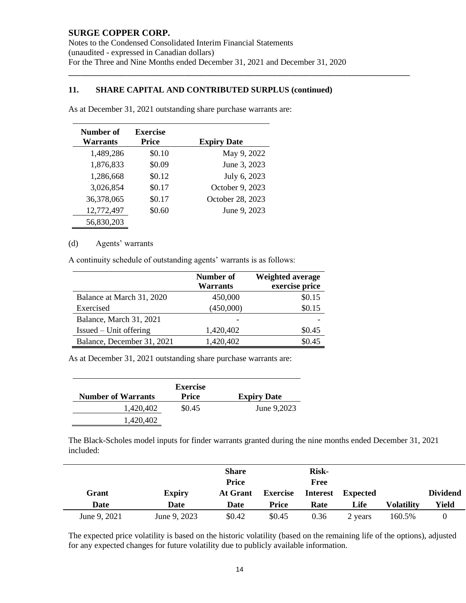Notes to the Condensed Consolidated Interim Financial Statements (unaudited - expressed in Canadian dollars) For the Three and Nine Months ended December 31, 2021 and December 31, 2020

\_\_\_\_\_\_\_\_\_\_\_\_\_\_\_\_\_\_\_\_\_\_\_\_\_\_\_\_\_\_\_\_\_\_\_\_\_\_\_\_\_\_\_\_\_\_\_\_\_\_\_\_\_\_\_\_\_\_\_\_\_\_\_\_\_\_\_\_\_\_\_\_\_\_\_\_\_\_\_\_\_\_

#### **11. SHARE CAPITAL AND CONTRIBUTED SURPLUS (continued)**

| Number of       | <b>Exercise</b> |                    |
|-----------------|-----------------|--------------------|
| <b>Warrants</b> | <b>Price</b>    | <b>Expiry Date</b> |
| 1,489,286       | \$0.10          | May 9, 2022        |
| 1,876,833       | \$0.09          | June 3, 2023       |
| 1,286,668       | \$0.12          | July 6, 2023       |
| 3,026,854       | \$0.17          | October 9, 2023    |
| 36,378,065      | \$0.17          | October 28, 2023   |
| 12,772,497      | \$0.60          | June 9, 2023       |
| 56,830,203      |                 |                    |

As at December 31, 2021 outstanding share purchase warrants are:

#### (d) Agents' warrants

A continuity schedule of outstanding agents' warrants is as follows:

|                            | Number of<br><b>Warrants</b> | Weighted average<br>exercise price |
|----------------------------|------------------------------|------------------------------------|
| Balance at March 31, 2020  | 450,000                      | \$0.15                             |
| Exercised                  | (450,000)                    | \$0.15                             |
| Balance, March 31, 2021    |                              |                                    |
| $Is sued - Unit offering$  | 1,420,402                    | \$0.45                             |
| Balance, December 31, 2021 | 1,420,402                    | \$0.45                             |

As at December 31, 2021 outstanding share purchase warrants are:

|                           | <b>Exercise</b> |                    |
|---------------------------|-----------------|--------------------|
| <b>Number of Warrants</b> | Price           | <b>Expiry Date</b> |
| 1,420,402                 | \$0.45          | June 9,2023        |
| 1.420.402                 |                 |                    |

The Black-Scholes model inputs for finder warrants granted during the nine months ended December 31, 2021 included:

| Grant<br>Date | <b>Expiry</b><br>Date | <b>Share</b><br><b>Price</b><br>At Grant<br>Date | <b>Exercise</b><br><b>Price</b> | <b>Risk-</b><br>Free<br>Rate | Interest Expected<br>Life | <b>Volatility</b> | <b>Dividend</b><br>Yield |
|---------------|-----------------------|--------------------------------------------------|---------------------------------|------------------------------|---------------------------|-------------------|--------------------------|
| June 9, 2021  | June 9, 2023          | \$0.42                                           | \$0.45                          | 0.36                         | 2 years                   | 160.5%            |                          |

The expected price volatility is based on the historic volatility (based on the remaining life of the options), adjusted for any expected changes for future volatility due to publicly available information.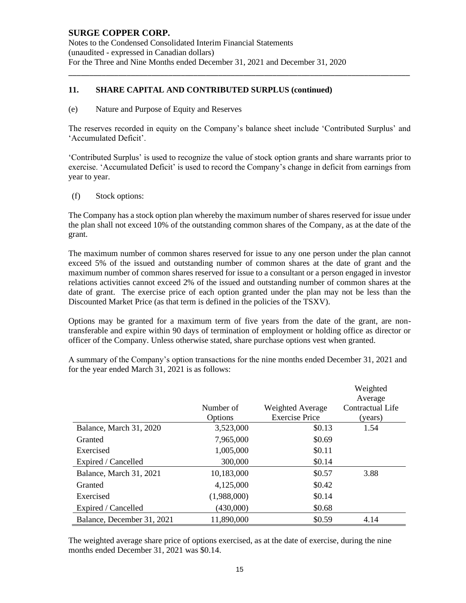Notes to the Condensed Consolidated Interim Financial Statements (unaudited - expressed in Canadian dollars) For the Three and Nine Months ended December 31, 2021 and December 31, 2020

### **11. SHARE CAPITAL AND CONTRIBUTED SURPLUS (continued)**

(e) Nature and Purpose of Equity and Reserves

The reserves recorded in equity on the Company's balance sheet include 'Contributed Surplus' and 'Accumulated Deficit'.

\_\_\_\_\_\_\_\_\_\_\_\_\_\_\_\_\_\_\_\_\_\_\_\_\_\_\_\_\_\_\_\_\_\_\_\_\_\_\_\_\_\_\_\_\_\_\_\_\_\_\_\_\_\_\_\_\_\_\_\_\_\_\_\_\_\_\_\_\_\_\_\_\_\_\_\_\_\_\_\_\_\_

'Contributed Surplus' is used to recognize the value of stock option grants and share warrants prior to exercise. 'Accumulated Deficit' is used to record the Company's change in deficit from earnings from year to year.

(f) Stock options:

The Company has a stock option plan whereby the maximum number of shares reserved for issue under the plan shall not exceed 10% of the outstanding common shares of the Company, as at the date of the grant.

The maximum number of common shares reserved for issue to any one person under the plan cannot exceed 5% of the issued and outstanding number of common shares at the date of grant and the maximum number of common shares reserved for issue to a consultant or a person engaged in investor relations activities cannot exceed 2% of the issued and outstanding number of common shares at the date of grant. The exercise price of each option granted under the plan may not be less than the Discounted Market Price (as that term is defined in the policies of the TSXV).

Options may be granted for a maximum term of five years from the date of the grant, are nontransferable and expire within 90 days of termination of employment or holding office as director or officer of the Company. Unless otherwise stated, share purchase options vest when granted.

A summary of the Company's option transactions for the nine months ended December 31, 2021 and for the year ended March 31, 2021 is as follows:

|                            |             |                         | Weighted<br>Average |
|----------------------------|-------------|-------------------------|---------------------|
|                            | Number of   | <b>Weighted Average</b> | Contractual Life    |
|                            | Options     | <b>Exercise Price</b>   | (years)             |
| Balance, March 31, 2020    | 3,523,000   | \$0.13                  | 1.54                |
| Granted                    | 7,965,000   | \$0.69                  |                     |
| Exercised                  | 1,005,000   | \$0.11                  |                     |
| Expired / Cancelled        | 300,000     | \$0.14                  |                     |
| Balance, March 31, 2021    | 10,183,000  | \$0.57                  | 3.88                |
| Granted                    | 4,125,000   | \$0.42                  |                     |
| Exercised                  | (1,988,000) | \$0.14                  |                     |
| Expired / Cancelled        | (430,000)   | \$0.68                  |                     |
| Balance, December 31, 2021 | 11,890,000  | \$0.59                  | 4.14                |

The weighted average share price of options exercised, as at the date of exercise, during the nine months ended December 31, 2021 was \$0.14.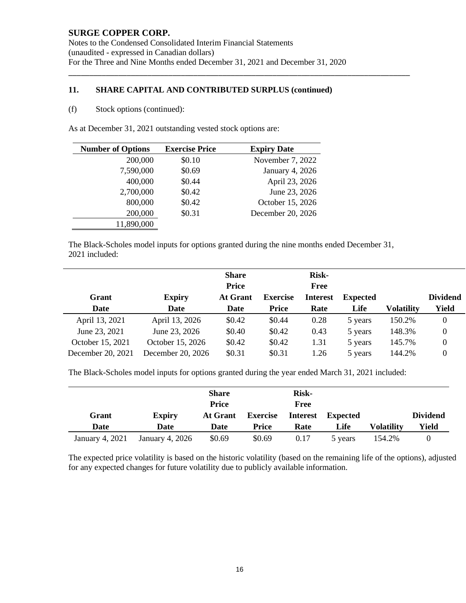Notes to the Condensed Consolidated Interim Financial Statements (unaudited - expressed in Canadian dollars) For the Three and Nine Months ended December 31, 2021 and December 31, 2020

\_\_\_\_\_\_\_\_\_\_\_\_\_\_\_\_\_\_\_\_\_\_\_\_\_\_\_\_\_\_\_\_\_\_\_\_\_\_\_\_\_\_\_\_\_\_\_\_\_\_\_\_\_\_\_\_\_\_\_\_\_\_\_\_\_\_\_\_\_\_\_\_\_\_\_\_\_\_\_\_\_\_

#### **11. SHARE CAPITAL AND CONTRIBUTED SURPLUS (continued)**

#### (f) Stock options (continued):

As at December 31, 2021 outstanding vested stock options are:

| <b>Exercise Price</b> | <b>Expiry Date</b> |
|-----------------------|--------------------|
| \$0.10                | November 7, 2022   |
| \$0.69                | January 4, 2026    |
| \$0.44                | April 23, 2026     |
| \$0.42                | June 23, 2026      |
| \$0.42                | October 15, 2026   |
| \$0.31                | December 20, 2026  |
|                       |                    |
|                       |                    |

The Black-Scholes model inputs for options granted during the nine months ended December 31, 2021 included:

|                   |                   | <b>Share</b><br><b>Price</b> |                 | <b>Risk-</b><br>Free |                 |            |                 |
|-------------------|-------------------|------------------------------|-----------------|----------------------|-----------------|------------|-----------------|
| Grant             | <b>Expiry</b>     | At Grant                     | <b>Exercise</b> | <b>Interest</b>      | <b>Expected</b> |            | <b>Dividend</b> |
| Date              | Date              | Date                         | <b>Price</b>    | Rate                 | Life            | Volatility | Yield           |
| April 13, 2021    | April 13, 2026    | \$0.42                       | \$0.44          | 0.28                 | 5 years         | 150.2%     |                 |
| June 23, 2021     | June 23, 2026     | \$0.40                       | \$0.42          | 0.43                 | 5 years         | 148.3%     |                 |
| October 15, 2021  | October 15, 2026  | \$0.42                       | \$0.42          | 1.31                 | 5 years         | 145.7%     |                 |
| December 20, 2021 | December 20, 2026 | \$0.31                       | \$0.31          | 1.26                 | 5 years         | 144.2%     |                 |

The Black-Scholes model inputs for options granted during the year ended March 31, 2021 included:

|                 |                 | <b>Share</b><br><b>Price</b> |                 | <b>Risk-</b><br>Free |          |                   |                 |
|-----------------|-----------------|------------------------------|-----------------|----------------------|----------|-------------------|-----------------|
| Grant           | <b>Expiry</b>   | At Grant                     | <b>Exercise</b> | <b>Interest</b>      | Expected |                   | <b>Dividend</b> |
| Date            | Date            | <b>Date</b>                  | <b>Price</b>    | Rate                 | Life     | <b>Volatility</b> | Yield           |
| January 4, 2021 | January 4, 2026 | \$0.69                       | \$0.69          | 0.17                 | 5 years  | 154.2%            |                 |

The expected price volatility is based on the historic volatility (based on the remaining life of the options), adjusted for any expected changes for future volatility due to publicly available information.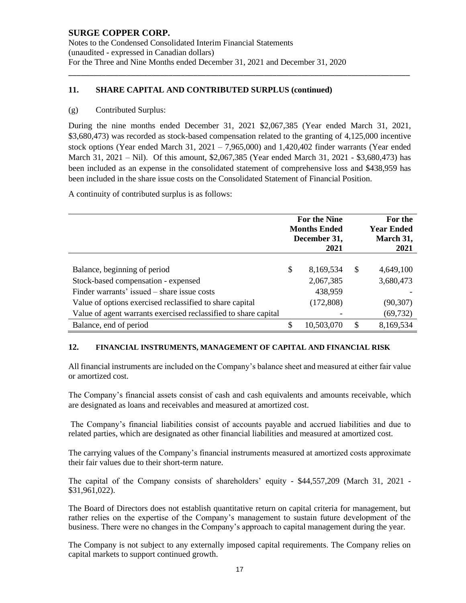Notes to the Condensed Consolidated Interim Financial Statements (unaudited - expressed in Canadian dollars) For the Three and Nine Months ended December 31, 2021 and December 31, 2020

### **11. SHARE CAPITAL AND CONTRIBUTED SURPLUS (continued)**

#### (g) Contributed Surplus:

During the nine months ended December 31, 2021 \$2,067,385 (Year ended March 31, 2021, \$3,680,473) was recorded as stock-based compensation related to the granting of 4,125,000 incentive stock options (Year ended March 31,  $2021 - 7,965,000$ ) and  $1,420,402$  finder warrants (Year ended March 31, 2021 – Nil). Of this amount, \$2,067,385 (Year ended March 31, 2021 - \$3,680,473) has been included as an expense in the consolidated statement of comprehensive loss and \$438,959 has been included in the share issue costs on the Consolidated Statement of Financial Position.

\_\_\_\_\_\_\_\_\_\_\_\_\_\_\_\_\_\_\_\_\_\_\_\_\_\_\_\_\_\_\_\_\_\_\_\_\_\_\_\_\_\_\_\_\_\_\_\_\_\_\_\_\_\_\_\_\_\_\_\_\_\_\_\_\_\_\_\_\_\_\_\_\_\_\_\_\_\_\_\_\_\_

A continuity of contributed surplus is as follows:

|                                                                 |    | For the Nine<br><b>Months Ended</b><br>December 31,<br>2021 |    | For the<br><b>Year Ended</b><br>March 31,<br>2021 |
|-----------------------------------------------------------------|----|-------------------------------------------------------------|----|---------------------------------------------------|
|                                                                 |    |                                                             |    |                                                   |
| Balance, beginning of period                                    | S  | 8,169,534                                                   | S  | 4,649,100                                         |
| Stock-based compensation - expensed                             |    | 2,067,385                                                   |    | 3,680,473                                         |
| Finder warrants' issued – share issue costs                     |    | 438,959                                                     |    |                                                   |
| Value of options exercised reclassified to share capital        |    | (172,808)                                                   |    | (90, 307)                                         |
| Value of agent warrants exercised reclassified to share capital |    |                                                             |    | (69, 732)                                         |
| Balance, end of period                                          | \$ | 10,503,070                                                  | \$ | 8,169,534                                         |

#### **12. FINANCIAL INSTRUMENTS, MANAGEMENT OF CAPITAL AND FINANCIAL RISK**

All financial instruments are included on the Company's balance sheet and measured at either fair value or amortized cost.

The Company's financial assets consist of cash and cash equivalents and amounts receivable, which are designated as loans and receivables and measured at amortized cost.

The Company's financial liabilities consist of accounts payable and accrued liabilities and due to related parties, which are designated as other financial liabilities and measured at amortized cost.

The carrying values of the Company's financial instruments measured at amortized costs approximate their fair values due to their short-term nature.

The capital of the Company consists of shareholders' equity - \$44,557,209 (March 31, 2021 -  $$31,961,022$ ).

The Board of Directors does not establish quantitative return on capital criteria for management, but rather relies on the expertise of the Company's management to sustain future development of the business. There were no changes in the Company's approach to capital management during the year.

The Company is not subject to any externally imposed capital requirements. The Company relies on capital markets to support continued growth.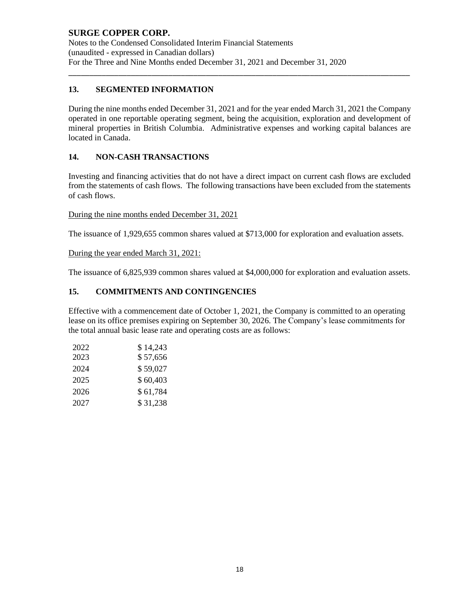Notes to the Condensed Consolidated Interim Financial Statements (unaudited - expressed in Canadian dollars) For the Three and Nine Months ended December 31, 2021 and December 31, 2020

# **13. SEGMENTED INFORMATION**

During the nine months ended December 31, 2021 and for the year ended March 31, 2021 the Company operated in one reportable operating segment, being the acquisition, exploration and development of mineral properties in British Columbia. Administrative expenses and working capital balances are located in Canada.

\_\_\_\_\_\_\_\_\_\_\_\_\_\_\_\_\_\_\_\_\_\_\_\_\_\_\_\_\_\_\_\_\_\_\_\_\_\_\_\_\_\_\_\_\_\_\_\_\_\_\_\_\_\_\_\_\_\_\_\_\_\_\_\_\_\_\_\_\_\_\_\_\_\_\_\_\_\_\_\_\_\_

## **14. NON-CASH TRANSACTIONS**

Investing and financing activities that do not have a direct impact on current cash flows are excluded from the statements of cash flows. The following transactions have been excluded from the statements of cash flows.

During the nine months ended December 31, 2021

The issuance of 1,929,655 common shares valued at \$713,000 for exploration and evaluation assets.

During the year ended March 31, 2021:

The issuance of 6,825,939 common shares valued at \$4,000,000 for exploration and evaluation assets.

## **15. COMMITMENTS AND CONTINGENCIES**

Effective with a commencement date of October 1, 2021, the Company is committed to an operating lease on its office premises expiring on September 30, 2026. The Company's lease commitments for the total annual basic lease rate and operating costs are as follows:

| 2022 | \$14,243 |
|------|----------|
| 2023 | \$57,656 |
| 2024 | \$59,027 |
| 2025 | \$60,403 |
| 2026 | \$61,784 |
| 2027 | \$31,238 |